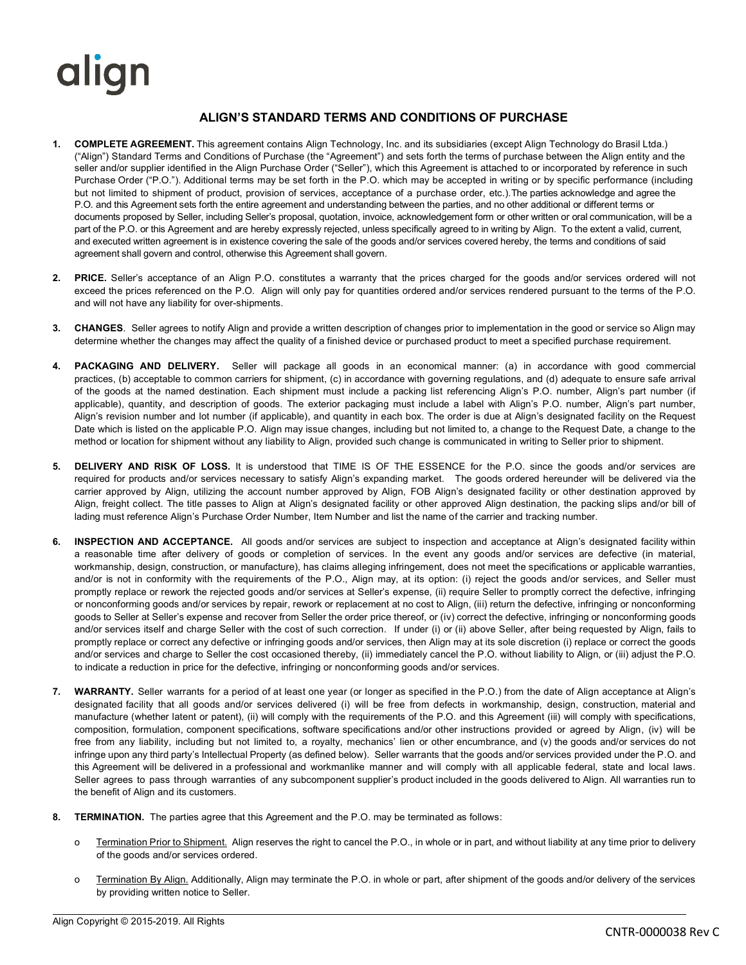## align

## **ALIGN'S STANDARD TERMS AND CONDITIONS OF PURCHASE**

- **1. COMPLETE AGREEMENT.** This agreement contains Align Technology, Inc. and its subsidiaries (except Align Technology do Brasil Ltda.) ("Align") Standard Terms and Conditions of Purchase (the "Agreement") and sets forth the terms of purchase between the Align entity and the seller and/or supplier identified in the Align Purchase Order ("Seller"), which this Agreement is attached to or incorporated by reference in such Purchase Order ("P.O."). Additional terms may be set forth in the P.O. which may be accepted in writing or by specific performance (including but not limited to shipment of product, provision of services, acceptance of a purchase order, etc.).The parties acknowledge and agree the P.O. and this Agreement sets forth the entire agreement and understanding between the parties, and no other additional or different terms or documents proposed by Seller, including Seller's proposal, quotation, invoice, acknowledgement form or other written or oral communication, will be a part of the P.O. or this Agreement and are hereby expressly rejected, unless specifically agreed to in writing by Align. To the extent a valid, current, and executed written agreement is in existence covering the sale of the goods and/or services covered hereby, the terms and conditions of said agreement shall govern and control, otherwise this Agreement shall govern.
- **2. PRICE.** Seller's acceptance of an Align P.O. constitutes a warranty that the prices charged for the goods and/or services ordered will not exceed the prices referenced on the P.O. Align will only pay for quantities ordered and/or services rendered pursuant to the terms of the P.O. and will not have any liability for over-shipments.
- **3. CHANGES**. Seller agrees to notify Align and provide a written description of changes prior to implementation in the good or service so Align may determine whether the changes may affect the quality of a finished device or purchased product to meet a specified purchase requirement.
- **4. PACKAGING AND DELIVERY.** Seller will package all goods in an economical manner: (a) in accordance with good commercial practices, (b) acceptable to common carriers for shipment, (c) in accordance with governing regulations, and (d) adequate to ensure safe arrival of the goods at the named destination. Each shipment must include a packing list referencing Align's P.O. number, Align's part number (if applicable), quantity, and description of goods. The exterior packaging must include a label with Align's P.O. number, Align's part number, Align's revision number and lot number (if applicable), and quantity in each box. The order is due at Align's designated facility on the Request Date which is listed on the applicable P.O. Align may issue changes, including but not limited to, a change to the Request Date, a change to the method or location for shipment without any liability to Align, provided such change is communicated in writing to Seller prior to shipment.
- **5. DELIVERY AND RISK OF LOSS.** It is understood that TIME IS OF THE ESSENCE for the P.O. since the goods and/or services are required for products and/or services necessary to satisfy Align's expanding market. The goods ordered hereunder will be delivered via the carrier approved by Align, utilizing the account number approved by Align, FOB Align's designated facility or other destination approved by Align, freight collect. The title passes to Align at Align's designated facility or other approved Align destination, the packing slips and/or bill of lading must reference Align's Purchase Order Number, Item Number and list the name of the carrier and tracking number.
- **6. INSPECTION AND ACCEPTANCE.** All goods and/or services are subject to inspection and acceptance at Align's designated facility within a reasonable time after delivery of goods or completion of services. In the event any goods and/or services are defective (in material, workmanship, design, construction, or manufacture), has claims alleging infringement, does not meet the specifications or applicable warranties, and/or is not in conformity with the requirements of the P.O., Align may, at its option: (i) reject the goods and/or services, and Seller must promptly replace or rework the rejected goods and/or services at Seller's expense, (ii) require Seller to promptly correct the defective, infringing or nonconforming goods and/or services by repair, rework or replacement at no cost to Align, (iii) return the defective, infringing or nonconforming goods to Seller at Seller's expense and recover from Seller the order price thereof, or (iv) correct the defective, infringing or nonconforming goods and/or services itself and charge Seller with the cost of such correction. If under (i) or (ii) above Seller, after being requested by Align, fails to promptly replace or correct any defective or infringing goods and/or services, then Align may at its sole discretion (i) replace or correct the goods and/or services and charge to Seller the cost occasioned thereby, (ii) immediately cancel the P.O. without liability to Align, or (iii) adjust the P.O. to indicate a reduction in price for the defective, infringing or nonconforming goods and/or services.
- **7. WARRANTY.** Seller warrants for a period of at least one year (or longer as specified in the P.O.) from the date of Align acceptance at Align's designated facility that all goods and/or services delivered (i) will be free from defects in workmanship, design, construction, material and manufacture (whether latent or patent), (ii) will comply with the requirements of the P.O. and this Agreement (iii) will comply with specifications, composition, formulation, component specifications, software specifications and/or other instructions provided or agreed by Align, (iv) will be free from any liability, including but not limited to, a royalty, mechanics' lien or other encumbrance, and (v) the goods and/or services do not infringe upon any third party's Intellectual Property (as defined below). Seller warrants that the goods and/or services provided under the P.O. and this Agreement will be delivered in a professional and workmanlike manner and will comply with all applicable federal, state and local laws. Seller agrees to pass through warranties of any subcomponent supplier's product included in the goods delivered to Align. All warranties run to the benefit of Align and its customers.
- **8. TERMINATION.** The parties agree that this Agreement and the P.O. may be terminated as follows:
	- o Termination Prior to Shipment. Align reserves the right to cancel the P.O., in whole or in part, and without liability at any time prior to delivery of the goods and/or services ordered.
	- o Termination By Align. Additionally, Align may terminate the P.O. in whole or part, after shipment of the goods and/or delivery of the services by providing written notice to Seller.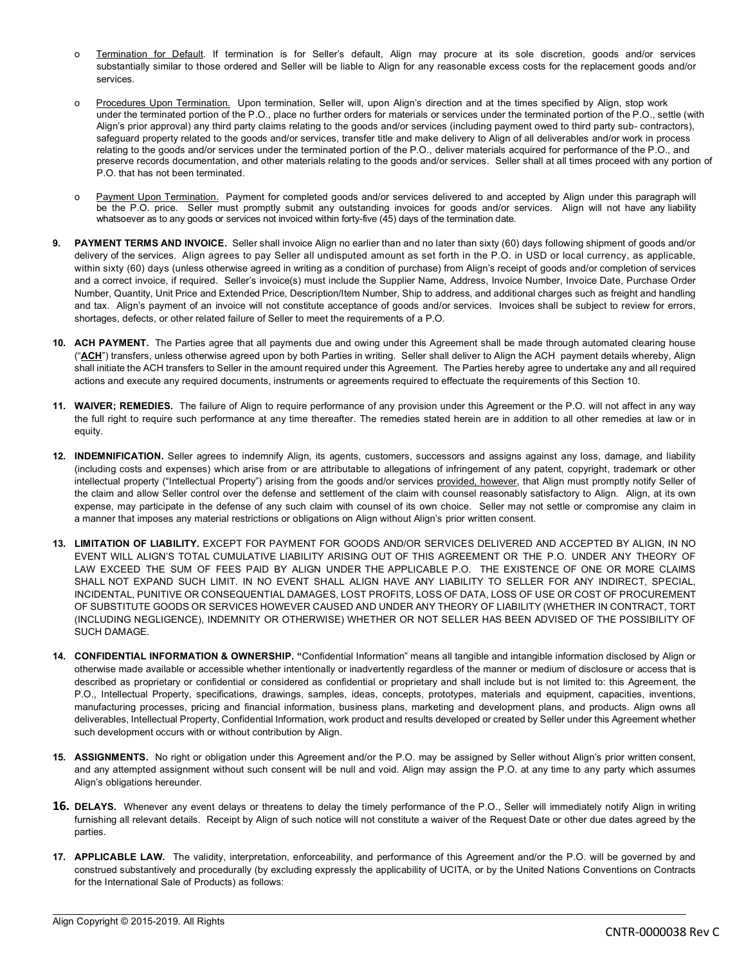- o Termination for Default. If termination is for Seller's default, Align may procure at its sole discretion, goods and/or services substantially similar to those ordered and Seller will be liable to Align for any reasonable excess costs for the replacement goods and/or services.
- o Procedures Upon Termination. Upon termination, Seller will, upon Align's direction and at the times specified by Align, stop work under the terminated portion of the P.O., place no further orders for materials or services under the terminated portion of the P.O., settle (with Align's prior approval) any third party claims relating to the goods and/or services (including payment owed to third party sub- contractors), safeguard property related to the goods and/or services, transfer title and make delivery to Align of all deliverables and/or work in process relating to the goods and/or services under the terminated portion of the P.O., deliver materials acquired for performance of the P.O., and preserve records documentation, and other materials relating to the goods and/or services. Seller shall at all times proceed with any portion of P.O. that has not been terminated.
- o Payment Upon Termination. Payment for completed goods and/or services delivered to and accepted by Align under this paragraph will be the P.O. price. Seller must promptly submit any outstanding invoices for goods and/or services. Align will not have any liability whatsoever as to any goods or services not invoiced within forty-five (45) days of the termination date.
- **9. PAYMENT TERMS AND INVOICE.** Seller shall invoice Align no earlier than and no later than sixty (60) days following shipment of goods and/or delivery of the services. Align agrees to pay Seller all undisputed amount as set forth in the P.O. in USD or local currency, as applicable, within sixty (60) days (unless otherwise agreed in writing as a condition of purchase) from Align's receipt of goods and/or completion of services and a correct invoice, if required. Seller's invoice(s) must include the Supplier Name, Address, Invoice Number, Invoice Date, Purchase Order Number, Quantity, Unit Price and Extended Price, Description/Item Number, Ship to address, and additional charges such as freight and handling and tax. Align's payment of an invoice will not constitute acceptance of goods and/or services. Invoices shall be subject to review for errors, shortages, defects, or other related failure of Seller to meet the requirements of a P.O.
- **10. ACH PAYMENT.** The Parties agree that all payments due and owing under this Agreement shall be made through automated clearing house ("ACH") transfers, unless otherwise agreed upon by both Parties in writing. Seller shall deliver to Align the ACH payment details whereby, Align shall initiate the ACH transfers to Seller in the amount required under this Agreement. The Parties hereby agree to undertake any and all required actions and execute any required documents, instruments or agreements required to effectuate the requirements of this Section 10.
- **11. WAIVER; REMEDIES.** The failure of Align to require performance of any provision under this Agreement or the P.O. will not affect in any way the full right to require such performance at any time thereafter. The remedies stated herein are in addition to all other remedies at law or in equity.
- **12. INDEMNIFICATION.** Seller agrees to indemnify Align, its agents, customers, successors and assigns against any loss, damage, and liability (including costs and expenses) which arise from or are attributable to allegations of infringement of any patent, copyright, trademark or other intellectual property ("Intellectual Property") arising from the goods and/or services provided, however, that Align must promptly notify Seller of the claim and allow Seller control over the defense and settlement of the claim with counsel reasonably satisfactory to Align. Align, at its own expense, may participate in the defense of any such claim with counsel of its own choice. Seller may not settle or compromise any claim in a manner that imposes any material restrictions or obligations on Align without Align's prior written consent.
- **13. LIMITATION OF LIABILITY.** EXCEPT FOR PAYMENT FOR GOODS AND/OR SERVICES DELIVERED AND ACCEPTED BY ALIGN, IN NO EVENT WILL ALIGN'S TOTAL CUMULATIVE LIABILITY ARISING OUT OF THIS AGREEMENT OR THE P.O. UNDER ANY THEORY OF LAW EXCEED THE SUM OF FEES PAID BY ALIGN UNDER THE APPLICABLE P.O. THE EXISTENCE OF ONE OR MORE CLAIMS SHALL NOT EXPAND SUCH LIMIT. IN NO EVENT SHALL ALIGN HAVE ANY LIABILITY TO SELLER FOR ANY INDIRECT, SPECIAL, INCIDENTAL, PUNITIVE OR CONSEQUENTIAL DAMAGES, LOST PROFITS, LOSS OF DATA, LOSS OF USE OR COST OF PROCUREMENT OF SUBSTITUTE GOODS OR SERVICES HOWEVER CAUSED AND UNDER ANY THEORY OF LIABILITY (WHETHER IN CONTRACT, TORT (INCLUDING NEGLIGENCE), INDEMNITY OR OTHERWISE) WHETHER OR NOT SELLER HAS BEEN ADVISED OF THE POSSIBILITY OF SUCH DAMAGE.
- **14. CONFIDENTIAL INFORMATION & OWNERSHIP. "**Confidential Information" means all tangible and intangible information disclosed by Align or otherwise made available or accessible whether intentionally or inadvertently regardless of the manner or medium of disclosure or access that is described as proprietary or confidential or considered as confidential or proprietary and shall include but is not limited to: this Agreement, the P.O., Intellectual Property, specifications, drawings, samples, ideas, concepts, prototypes, materials and equipment, capacities, inventions, manufacturing processes, pricing and financial information, business plans, marketing and development plans, and products. Align owns all deliverables, Intellectual Property, Confidential Information, work product and results developed or created by Seller under this Agreement whether such development occurs with or without contribution by Align.
- **15. ASSIGNMENTS.** No right or obligation under this Agreement and/or the P.O. may be assigned by Seller without Align's prior written consent, and any attempted assignment without such consent will be null and void. Align may assign the P.O. at any time to any party which assumes Align's obligations hereunder.
- **16. DELAYS.** Whenever any event delays or threatens to delay the timely performance of the P.O., Seller will immediately notify Align in writing furnishing all relevant details. Receipt by Align of such notice will not constitute a waiver of the Request Date or other due dates agreed by the parties.
- **17. APPLICABLE LAW.** The validity, interpretation, enforceability, and performance of this Agreement and/or the P.O. will be governed by and construed substantively and procedurally (by excluding expressly the applicability of UCITA, or by the United Nations Conventions on Contracts for the International Sale of Products) as follows: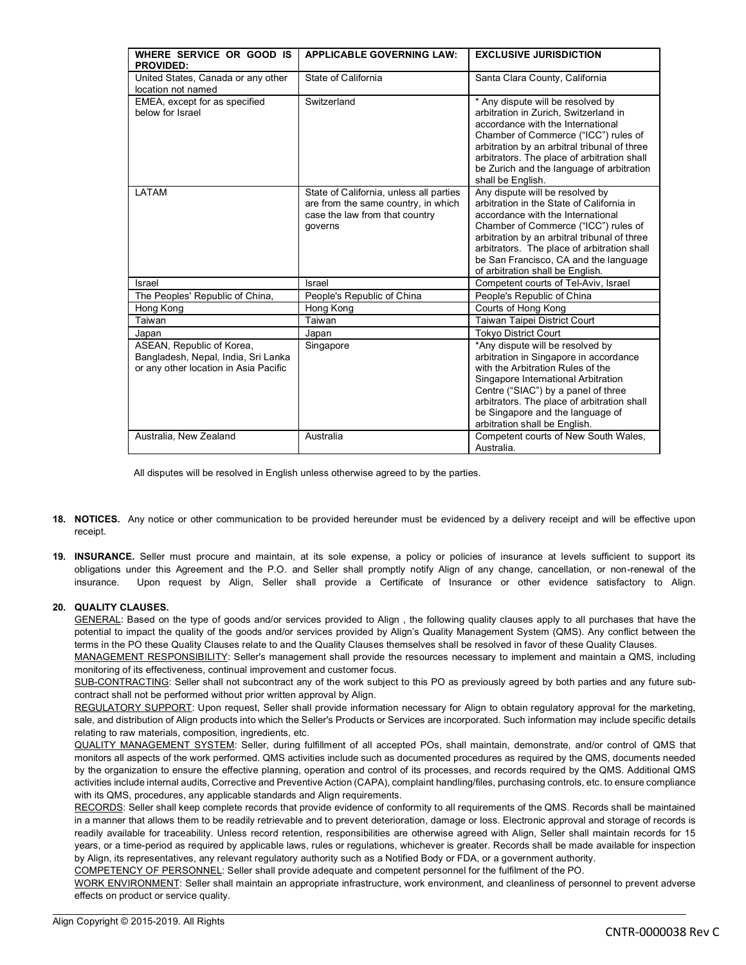| WHERE SERVICE OR GOOD IS<br><b>PROVIDED:</b>                                                              | <b>APPLICABLE GOVERNING LAW:</b>                                                                                            | <b>EXCLUSIVE JURISDICTION</b>                                                                                                                                                                                                                                                                                                         |
|-----------------------------------------------------------------------------------------------------------|-----------------------------------------------------------------------------------------------------------------------------|---------------------------------------------------------------------------------------------------------------------------------------------------------------------------------------------------------------------------------------------------------------------------------------------------------------------------------------|
| United States, Canada or any other<br>location not named                                                  | State of California                                                                                                         | Santa Clara County, California                                                                                                                                                                                                                                                                                                        |
| EMEA, except for as specified<br>below for Israel                                                         | Switzerland                                                                                                                 | * Any dispute will be resolved by<br>arbitration in Zurich, Switzerland in<br>accordance with the International<br>Chamber of Commerce ("ICC") rules of<br>arbitration by an arbitral tribunal of three<br>arbitrators. The place of arbitration shall<br>be Zurich and the language of arbitration<br>shall be English.              |
| LATAM                                                                                                     | State of California, unless all parties<br>are from the same country, in which<br>case the law from that country<br>governs | Any dispute will be resolved by<br>arbitration in the State of California in<br>accordance with the International<br>Chamber of Commerce ("ICC") rules of<br>arbitration by an arbitral tribunal of three<br>arbitrators. The place of arbitration shall<br>be San Francisco, CA and the language<br>of arbitration shall be English. |
| Israel                                                                                                    | Israel                                                                                                                      | Competent courts of Tel-Aviv, Israel                                                                                                                                                                                                                                                                                                  |
| The Peoples' Republic of China,                                                                           | People's Republic of China                                                                                                  | People's Republic of China                                                                                                                                                                                                                                                                                                            |
| Hong Kong                                                                                                 | Hong Kong                                                                                                                   | Courts of Hong Kong                                                                                                                                                                                                                                                                                                                   |
| Taiwan                                                                                                    | Taiwan                                                                                                                      | <b>Taiwan Taipei District Court</b>                                                                                                                                                                                                                                                                                                   |
| Japan                                                                                                     | Japan                                                                                                                       | <b>Tokyo District Court</b>                                                                                                                                                                                                                                                                                                           |
| ASEAN, Republic of Korea,<br>Bangladesh, Nepal, India, Sri Lanka<br>or any other location in Asia Pacific | Singapore                                                                                                                   | *Any dispute will be resolved by<br>arbitration in Singapore in accordance<br>with the Arbitration Rules of the<br>Singapore International Arbitration<br>Centre ("SIAC") by a panel of three<br>arbitrators. The place of arbitration shall<br>be Singapore and the language of<br>arbitration shall be English.                     |
| Australia, New Zealand                                                                                    | Australia                                                                                                                   | Competent courts of New South Wales,<br>Australia.                                                                                                                                                                                                                                                                                    |

All disputes will be resolved in English unless otherwise agreed to by the parties.

- **18. NOTICES.** Any notice or other communication to be provided hereunder must be evidenced by a delivery receipt and will be effective upon receipt.
- **19. INSURANCE.** Seller must procure and maintain, at its sole expense, a policy or policies of insurance at levels sufficient to support its obligations under this Agreement and the P.O. and Seller shall promptly notify Align of any change, cancellation, or non-renewal of the insurance. Upon request by Align, Seller shall provide a Certificate of Insurance or other evidence satisfactory to Align.

## **20. QUALITY CLAUSES.**

GENERAL: Based on the type of goods and/or services provided to Align, the following quality clauses apply to all purchases that have the potential to impact the quality of the goods and/or services provided by Align's Quality Management System (QMS). Any conflict between the terms in the PO these Quality Clauses relate to and the Quality Clauses themselves shall be resolved in favor of these Quality Clauses.

MANAGEMENT RESPONSIBILITY: Seller's management shall provide the resources necessary to implement and maintain a QMS, including monitoring of its effectiveness, continual improvement and customer focus.

SUB-CONTRACTING: Seller shall not subcontract any of the work subject to this PO as previously agreed by both parties and any future subcontract shall not be performed without prior written approval by Align.

REGULATORY SUPPORT: Upon request, Seller shall provide information necessary for Align to obtain regulatory approval for the marketing, sale, and distribution of Align products into which the Seller's Products or Services are incorporated. Such information may include specific details relating to raw materials, composition, ingredients, etc.

QUALITY MANAGEMENT SYSTEM: Seller, during fulfillment of all accepted POs, shall maintain, demonstrate, and/or control of QMS that monitors all aspects of the work performed. QMS activities include such as documented procedures as required by the QMS, documents needed by the organization to ensure the effective planning, operation and control of its processes, and records required by the QMS. Additional QMS activities include internal audits, Corrective and Preventive Action (CAPA), complaint handling/files, purchasing controls, etc. to ensure compliance with its QMS, procedures, any applicable standards and Align requirements.

RECORDS: Seller shall keep complete records that provide evidence of conformity to all requirements of the QMS. Records shall be maintained in a manner that allows them to be readily retrievable and to prevent deterioration, damage or loss. Electronic approval and storage of records is readily available for traceability. Unless record retention, responsibilities are otherwise agreed with Align, Seller shall maintain records for 15 years, or a time-period as required by applicable laws, rules or regulations, whichever is greater. Records shall be made available for inspection by Align, its representatives, any relevant regulatory authority such as a Notified Body or FDA, or a government authority.

COMPETENCY OF PERSONNEL: Seller shall provide adequate and competent personnel for the fulfilment of the PO.

WORK ENVIRONMENT: Seller shall maintain an appropriate infrastructure, work environment, and cleanliness of personnel to prevent adverse effects on product or service quality.